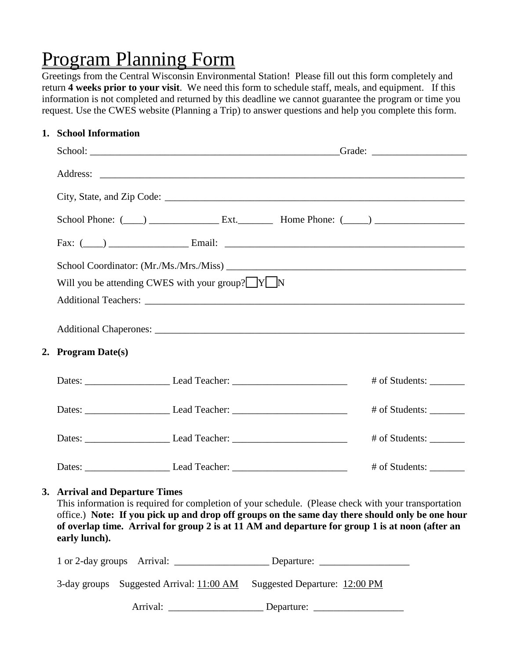# Program Planning Form

Greetings from the Central Wisconsin Environmental Station! Please fill out this form completely and return **4 weeks prior to your visit**. We need this form to schedule staff, meals, and equipment. If this information is not completed and returned by this deadline we cannot guarantee the program or time you request. Use the CWES website (Planning a Trip) to answer questions and help you complete this form.

### **1. School Information**

|                                                   |                    | School Phone: $(\_\_\_\_)$ $\_\_\_\_\_\_$ Ext. $\_\_\_\_$ Home Phone: $(\_\_\_\)_$ $\_\_\_\_\_\_\_\_\_\_$ |                         |  |  |  |  |
|---------------------------------------------------|--------------------|-----------------------------------------------------------------------------------------------------------|-------------------------|--|--|--|--|
|                                                   |                    |                                                                                                           |                         |  |  |  |  |
| Will you be attending CWES with your group? $Y_N$ |                    |                                                                                                           |                         |  |  |  |  |
|                                                   |                    |                                                                                                           |                         |  |  |  |  |
|                                                   | 2. Program Date(s) |                                                                                                           |                         |  |  |  |  |
|                                                   |                    |                                                                                                           | # of Students: ________ |  |  |  |  |
|                                                   |                    |                                                                                                           |                         |  |  |  |  |
|                                                   |                    |                                                                                                           | # of Students: ________ |  |  |  |  |
|                                                   |                    |                                                                                                           | # of Students:          |  |  |  |  |

#### **3. Arrival and Departure Times**

This information is required for completion of your schedule.(Please check with your transportation office.) **Note: If you pick up and drop off groups on the same day there should only be one hour of overlap time. Arrival for group 2 is at 11 AM and departure for group 1 is at noon (after an early lunch).**

| 1 or 2-day groups Arrival:               | Departure:                    |
|------------------------------------------|-------------------------------|
| 3-day groups Suggested Arrival: 11:00 AM | Suggested Departure: 12:00 PM |
| Arrival:                                 | Departure:                    |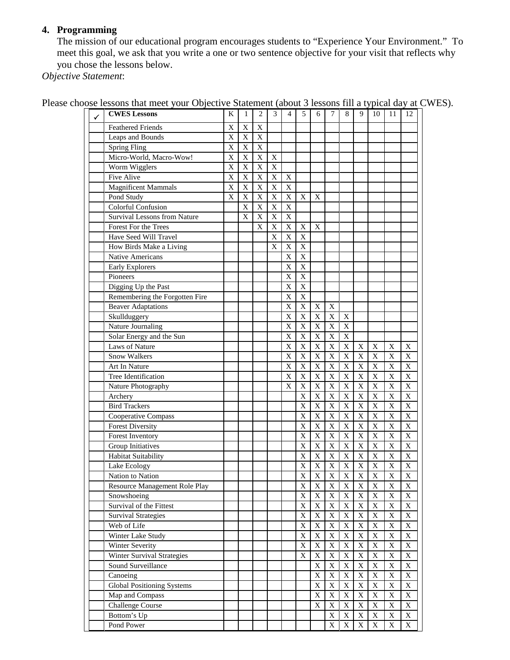# **4. Programming**

The mission of our educational program encourages students to "Experience Your Environment." To meet this goal, we ask that you write a one or two sentence objective for your visit that reflects why you chose the lessons below.

*Objective Statement*:

| ✓ | <b>CWES</b> Lessons               | K | 1           | 2 | 3 | 4 | 5           | 6           | 7           | 8           | 9           | 10                        | 11          | 12          |
|---|-----------------------------------|---|-------------|---|---|---|-------------|-------------|-------------|-------------|-------------|---------------------------|-------------|-------------|
|   | <b>Feathered Friends</b>          | X | $\mathbf X$ | X |   |   |             |             |             |             |             |                           |             |             |
|   | Leaps and Bounds                  | X | $\mathbf X$ | X |   |   |             |             |             |             |             |                           |             |             |
|   | <b>Spring Fling</b>               | X | $\mathbf X$ | X |   |   |             |             |             |             |             |                           |             |             |
|   | Micro-World, Macro-Wow!           | X | X           | X | X |   |             |             |             |             |             |                           |             |             |
|   | Worm Wigglers                     | X | $\mathbf X$ | X | X |   |             |             |             |             |             |                           |             |             |
|   | Five Alive                        | X | $\mathbf X$ | X | X | X |             |             |             |             |             |                           |             |             |
|   | <b>Magnificent Mammals</b>        | X | $\mathbf X$ | X | X | X |             |             |             |             |             |                           |             |             |
|   | Pond Study                        | X | X           | X | X | X | X           | X           |             |             |             |                           |             |             |
|   | Colorful Confusion                |   | X           | X | X | X |             |             |             |             |             |                           |             |             |
|   | Survival Lessons from Nature      |   | X           | X | X | X |             |             |             |             |             |                           |             |             |
|   | Forest For the Trees              |   |             | X | X | X | X           | X           |             |             |             |                           |             |             |
|   | Have Seed Will Travel             |   |             |   | X | X | X           |             |             |             |             |                           |             |             |
|   | How Birds Make a Living           |   |             |   | X | X | X           |             |             |             |             |                           |             |             |
|   | Native Americans                  |   |             |   |   | X | X           |             |             |             |             |                           |             |             |
|   | <b>Early Explorers</b>            |   |             |   |   | X | X           |             |             |             |             |                           |             |             |
|   | Pioneers                          |   |             |   |   | X | X           |             |             |             |             |                           |             |             |
|   | Digging Up the Past               |   |             |   |   | X | X           |             |             |             |             |                           |             |             |
|   | Remembering the Forgotten Fire    |   |             |   |   | X | X           |             |             |             |             |                           |             |             |
|   | <b>Beaver Adaptations</b>         |   |             |   |   | X | X           | X           | X           |             |             |                           |             |             |
|   | Skullduggery                      |   |             |   |   | X | X           | X           | X           | X           |             |                           |             |             |
|   | Nature Journaling                 |   |             |   |   | X | X           | X           | X           | X           |             |                           |             |             |
|   | Solar Energy and the Sun          |   |             |   |   | X | X           | X           | X           | X           |             |                           |             |             |
|   | <b>Laws of Nature</b>             |   |             |   |   | X | X           | X           | X           | X           | X           | X                         | X           | X           |
|   | <b>Snow Walkers</b>               |   |             |   |   | X | X           | X           | X           | X           | X           | X                         | X           | X           |
|   | Art In Nature                     |   |             |   |   | X | X           | X           | X           | $\mathbf X$ | X           | X                         | X           | X           |
|   | Tree Identification               |   |             |   |   | X | X           | X           | X           | X           | X           | X                         | X           | X           |
|   | Nature Photography                |   |             |   |   | X | X           | X           | X           | X           | X           | X                         | X           | X           |
|   | Archery                           |   |             |   |   |   | X           | X           | X           | X           | X           | X                         | X           | X           |
|   | <b>Bird Trackers</b>              |   |             |   |   |   | X           | X           | X           | X           | X           | X                         | X           | X           |
|   | Cooperative Compass               |   |             |   |   |   | X           | X           | X           | X           | X           | X                         | X           | X           |
|   | <b>Forest Diversity</b>           |   |             |   |   |   | X           | X           | X           | X           | X           | X                         | X           | X           |
|   | Forest Inventory                  |   |             |   |   |   | X           | X           | X           | X           | X           | X                         | X           | X           |
|   | Group Initiatives                 |   |             |   |   |   | X           | X           | X           | X           | $\mathbf X$ | X                         | X           | X           |
|   | Habitat Suitability               |   |             |   |   |   | X           | X           | X           | X           | $\mathbf X$ | X                         | X           | X           |
|   | Lake Ecology                      |   |             |   |   |   | X           | X           | X           | X           | X           | X                         | X           | X           |
|   | Nation to Nation                  |   |             |   |   |   | X           | X           | X           | X           | X           | X                         | X           | X           |
|   | Resource Management Role Play     |   |             |   |   |   | X           | X           | X           | X           | X           | X                         | X           | X           |
|   | Snowshoeing                       |   |             |   |   |   | X           | X           | X           | $\mathbf X$ | $\mathbf X$ | $\mathbf X$               | X           | X           |
|   | Survival of the Fittest           |   |             |   |   |   | X           | $\mathbf X$ | $\mathbf X$ | $\mathbf X$ | $\mathbf X$ | $\mathbf X$               | X           | X           |
|   | <b>Survival Strategies</b>        |   |             |   |   |   | X           | $\mathbf X$ | $\mathbf X$ | $\mathbf X$ | X           | $\mathbf X$               | X           | X           |
|   | Web of Life                       |   |             |   |   |   | X           | X           | $\mathbf X$ | $\mathbf X$ | X           | $\mathbf X$               | X           | $\mathbf X$ |
|   | Winter Lake Study                 |   |             |   |   |   | X           | X           | $\mathbf X$ | $\mathbf X$ | X           | $\mathbf X$               | X           | $\mathbf X$ |
|   | Winter Severity                   |   |             |   |   |   | X           | X           | $\mathbf X$ | $\mathbf X$ | X           | $\mathbf X$               | X           | $\mathbf X$ |
|   | <b>Winter Survival Strategies</b> |   |             |   |   |   | $\mathbf X$ | $\mathbf X$ | $\mathbf X$ | X           | $\mathbf X$ | $\mathbf X$               | $\mathbf X$ | $\mathbf X$ |
|   | Sound Surveillance                |   |             |   |   |   |             | X           | $\mathbf X$ | $\mathbf X$ | $\mathbf X$ | $\boldsymbol{\mathrm{X}}$ | X           | X           |
|   | Canoeing                          |   |             |   |   |   |             | X           | $\mathbf X$ | $\mathbf X$ | $\mathbf X$ | $\boldsymbol{\mathrm{X}}$ | X           | X           |
|   | Global Positioning Systems        |   |             |   |   |   |             | X           | $\mathbf X$ | $\mathbf X$ | $\mathbf X$ | $\mathbf X$               | X           | X           |
|   | Map and Compass                   |   |             |   |   |   |             | X           | $\mathbf X$ | $\mathbf X$ | $\mathbf X$ | $\mathbf X$               | X           | X           |
|   | <b>Challenge Course</b>           |   |             |   |   |   |             | X           | $\mathbf X$ | X           | $\mathbf X$ | X                         | X           | X           |
|   | Bottom's Up                       |   |             |   |   |   |             |             | $\mathbf X$ | X           | X           | X                         | X           | X           |
|   | Pond Power                        |   |             |   |   |   |             |             | X           | X           | X           | X                         | X           | X           |
|   |                                   |   |             |   |   |   |             |             |             |             |             |                           |             |             |

| Please choose lessons that meet your Objective Statement (about 3 lessons fill a typical day at CWES). |  |  |  |  |  |
|--------------------------------------------------------------------------------------------------------|--|--|--|--|--|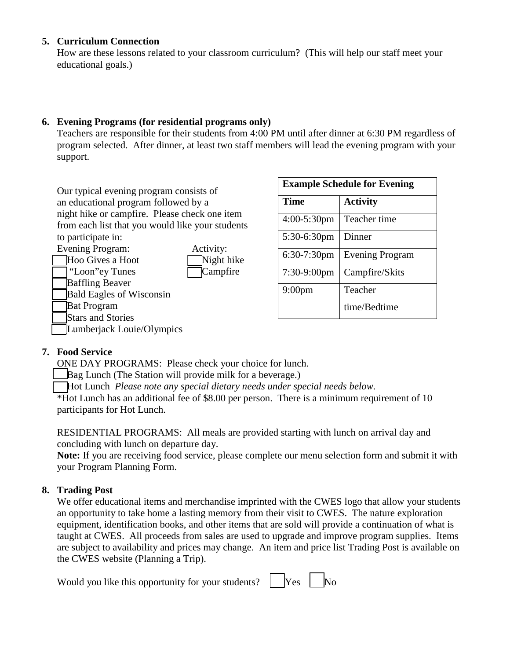### **5. Curriculum Connection**

How are these lessons related to your classroom curriculum? (This will help our staff meet your educational goals.)

## **6. Evening Programs (for residential programs only)**

Teachers are responsible for their students from 4:00 PM until after dinner at 6:30 PM regardless of program selected. After dinner, at least two staff members will lead the evening program with your support.

Our typical evening program consists of an educational program followed by a night hike or campfire. Please check one item from each list that you would like your students to participate in:

| <b>Evening Program:</b>         | Activity:  |
|---------------------------------|------------|
| Hoo Gives a Hoot                | Night hike |
| "Loon" ey Tunes                 | Campfire   |
| <b>Baffling Beaver</b>          |            |
| <b>Bald Eagles of Wisconsin</b> |            |
| <b>Bat Program</b>              |            |
| <b>Stars and Stories</b>        |            |
| Lumberjack Louie/Olympics       |            |

| <b>Example Schedule for Evening</b> |                        |  |  |  |  |  |
|-------------------------------------|------------------------|--|--|--|--|--|
| <b>Time</b>                         | <b>Activity</b>        |  |  |  |  |  |
| $4:00-5:30$ pm                      | Teacher time           |  |  |  |  |  |
| 5:30-6:30pm                         | Dinner                 |  |  |  |  |  |
| $6:30-7:30$ pm                      | <b>Evening Program</b> |  |  |  |  |  |
| $7:30-9:00$ pm                      | Campfire/Skits         |  |  |  |  |  |
| $9:00$ pm                           | Teacher                |  |  |  |  |  |
|                                     | time/Bedtime           |  |  |  |  |  |

# **7. Food Service**

ONE DAY PROGRAMS: Please check your choice for lunch.

Bag Lunch (The Station will provide milk for a beverage.)

\_\_Hot Lunch *Please note any special dietary needs under special needs below.*

 $*$ Hot Lunch has an additional fee of \$8.00 per person. There is a minimum requirement of 10 participants for Hot Lunch.

RESIDENTIAL PROGRAMS: All meals are provided starting with lunch on arrival day and concluding with lunch on departure day.

**Note:** If you are receiving food service, please complete our menu selection form and submit it with your Program Planning Form.

# **8. Trading Post**

We offer educational items and merchandise imprinted with the CWES logo that allow your students an opportunity to take home a lasting memory from their visit to CWES. The nature exploration equipment, identification books, and other items that are sold will provide a continuation of what is taught at CWES. All proceeds from sales are used to upgrade and improve program supplies. Items are subject to availability and prices may change. An item and price list Trading Post is available on the CWES website (Planning a Trip).

Would you like this opportunity for your students?  $\parallel$  Yes  $\parallel$  No